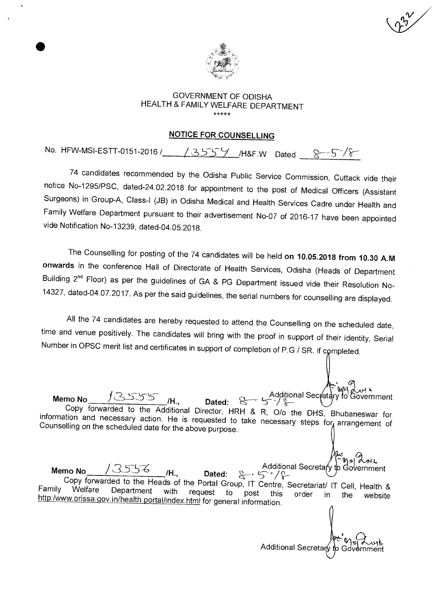

#### GOVERNMENT OF ODISHA HEALTH & FAMILY WELFARE DEPARTMENT \*\*\*\*\*

#### **NOTICE FOR COUNSELLING**

No. HFW-MSI-ESTT-0151-2016 / 13559 /H&F.W Dated 8-5/8

74 candidates recommended by the Odisha Public Service Commission, Cuttack vide their notice No-1295/PSC, dated-24.02.2018 for appointment to the post of Medical Officers (Assistant Surgeons) in Group-A, Class-I (JB) in Odisha Medical and Health Services Cadre under Health and Family Welfare Department pursuant to their advertisement No-07 of 2016-17 have been appointed vide Notification No-13239, dated-04.05.2018.

The Counselling for posting of the 74 candidates will be held **on 10.05.2018 from 10.30 A.M onwards** in the conference Hall of Directorate of Health Services, Odisha (Heads of Department Building 2<sup>nd</sup> Floor) as per the guidelines of GA & PG Department issued vide their Resolution No-14327, dated-04.07.2017. As per the said guidelines, the serial numbers for counselling are displayed.

All the 74 candidates are hereby requested to attend the Counselling on the scheduled date, time and venue positively. The candidates will bring with the proof in support of their identity, Serial Number in OPSC merit list and certificates in support of completion of P.G / SR. if completed.

Copy forwarded to the Additional Director, HRH & R, 0/o the DHS, Bhubaneswar for information and necessary action. He is requested to take necessary steps for arrangement of Counselling on the scheduled date for the above purpose. Memo No / 35556 H., Dated:  $8-r5^{+}/2$  -40ernment<br>Memo No / 35556 H., Dated:  $8-r5^{+}/2$ Copy forwarded to the Heads of the Portal Group, IT Centre, Secretariat/ IT Cell, Health & Family Welfare Department with request to post this order in the website Farrily velliare Department with request to post this http:/www.orissa.gov.in/health portal/index.html for general information.

**Memo No**  $\frac{13555}{14}$  /H., Dated:  $8 \rightarrow 5 \frac{12}{18}$  **Additional Secretary to Government** 

Additional Secretary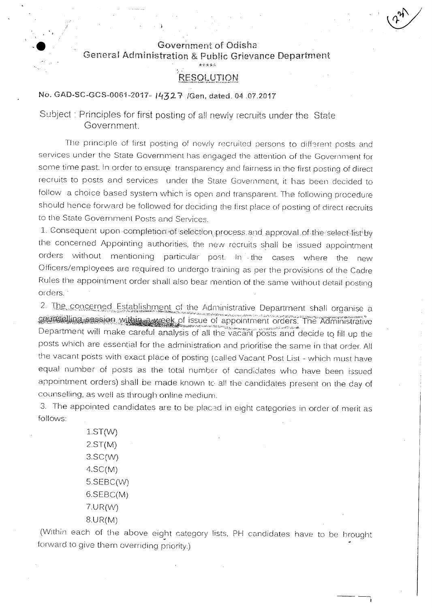### Government of Odisha General Administration & Public Grievance Department

## \*\*\*\*\* RESOLUTION

No. GAD-SC-GCS-0061-2017- IL/32:7*-* /Gen, dated, 04 .07.2017

Subject : Principles for first posting of all newly recruits under the State Government.

The principle of first posting of newly recruited persons to different posts and services under the State Government has engaged the attention of the Government for some time past. In order to ensure transparency and fairness in the first posting of direct recruits to posts and services under the State Government, it has been decided to follow a choice based system which is open and transparent. The following procedure should hence forward be followed for deciding the first place of posting of direct recruits to the State Government Posts and Services.

1. Consequent upon completion of selection process and approval of the select list by the concerned Appointing authorities, the new recruits shall be issued appointment orders without mentioning particular post. In the cases where the new Officers/employees are required to undergo training as per the provisions of the Cadre Rules the appointment order shall also bear mention of the same without detail posting orders. •

2. The concerned Establishment of the Administrative Department shall organise a caunseling session within a week of issue of appointment orders. The Administrative Department will make careful analysis of all the vacant posts and decide to fill up the posts which are essential for the administration and prioritise the same in that order. All the vacant posts with exact place of posting (called Vacant Post List - which must have equal number of posts as the total number of candidates who have been issued appointment orders) shall be made known to all the candidates present on the day of counselling, as well as through online medium\_

3. The appointed candidates are to be placed in eight categories in order of merit as follows:

> $1.ST(W)$ 2.ST(M) 3.SC(W)  $4.SC(M)$ 5.SEBC(W) 6.SEBC(M) 7.UR(W) 8.UR(M)

(Within each of the above eight category lists, PH candidates have to be brought forward to give them overriding priority.)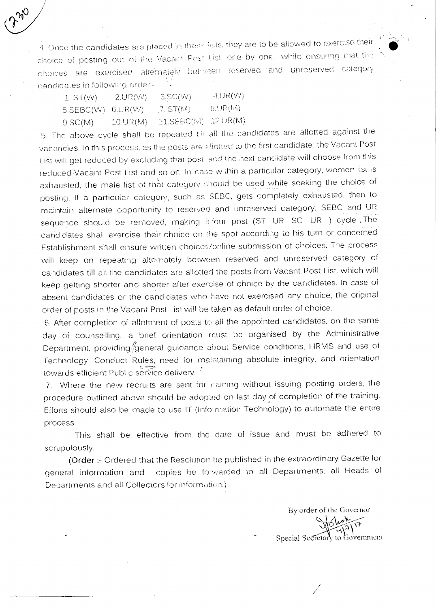4. Once the candidates are placed in these lists, they are to be allowed to exercise their choice of posting out of the Vacant Post List, one by one, while ensuring that that choices are exercised alternately bei-veen reserved and unreserved category candidates in following order-

| $1.$ ST(W)          | 2.UR(W)  | 3.5C(W)                 | $4. \cup R(W)$ |
|---------------------|----------|-------------------------|----------------|
| $5.SEBC(W)$ 6.UR(W) |          | 7. ST(M).               | SLIR(M)        |
| 9.SC(M)             | 10.UR(M) | $11.SEBC(M)$ $12.UR(M)$ |                |

5, The above cycle shall be repeated til all the candidates are allotted against the vacancies. In this process, as the posts are allotted to the first candidate, the Vacant Post List will get reduced by excluding that post and the next candidate will choose from this reduced Vacant Post List and so on. In case within a particular category, women list is exhausted, the male list of that category should be used while seeking the choice of posting. If a particular category, such as SEBC, gets completely exhausted, then to maintain alternate opportunity to reserved and unreserved category, SEBC and UR sequence should be removed, making it four post (ST UR SC UR ) cycle. The candidates shall exercise their choice on the spot according to his turn or concerned Establishment shall ensure written choices/online submission of choices. The process will keep on repeating alternately between reserved and unreserved category of candidates till all the candidates are allotted the posts from Vacant Post List, which will keep getting shorter and shorter after exercise of choice by the candidates. In case of absent candidates or the candidates who have not exercised any choice, the original order of posts in the Vacant Post List will be taken as default order of choice.

6. After completion of allotment of posts to all the appointed candidates, on the same day of counselling, a brief orientation must be organised by the Administrative Department, providing General guidance about Service conditions, HRMS and use of Technology: Conduct Rules, need for maintaining absolute integrity, and orientation towards efficient Public service delivery.

7. Where the new recruits are sent for maining without issuing posting orders, the procedure outlined above, should be adopted on last day of completion of the training. Efforts should also be made to use IT (Information Technology) to automate the entire process.

This shall be effective from the date of issue and must be adhered to scrupulously.

(Order :- Ordered that the Resolution be published in the extraordinary Gazette for general information and copies be forwarded to all Departments, all Heads of • Departments and all Collectors for information.)

By order of the Governor Special Secretary to Government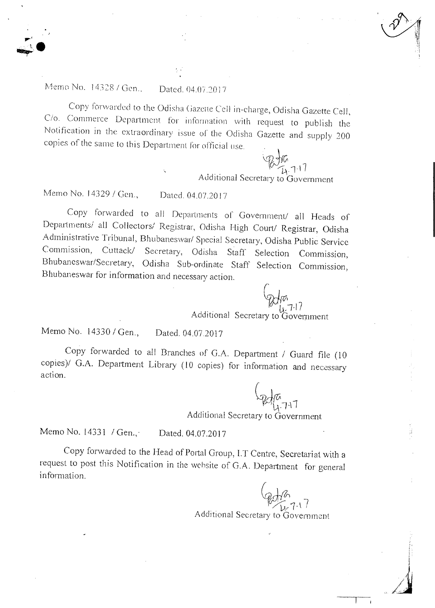# Memo No. 14328 / Gen.. Dated. 04.07.2017

Copy forwarded to the Odisha Gazette Cell in-charge, Odisha Gazette Cell, C/o. Commerce Department for information with request to publish the Notification in the extraordinary issue of the Odisha Gazette and supply 200 copies of the same to this Department for official use.

> $67.11$ Additional Secretary to Government

Memo No. 14329 / Gen., Dated. 04.07.2017

Copy forwarded to all Departments of Government/ all Heads of Departments/ all Collectors/ Registrar, Odisha High Court/ Registrar, Odisha Administrative Tribunal, Bhubaneswar/ Special Secretary, Odisha Public Service Commission, Cuttack/ Secretary, Odisha Staff Selection Commission, Bhubaneswar/Secretary, Odisha Sub-ordinate Staff Selection Commission, Bhubaneswar for information and necessary action.  $\int$ 

> $1,7 -17$ Additional Secretary to Government

Memo No. 14330 / Gen., Dated. 04.07.2017

Copy forwarded to all Branches of G.A. Department / Guard file (10 copies)/ G.A. Department Library (10 copies) for information and necessary action.

Additional Secretary to Government

Memo No. 14331 / Gen., Dated. 04.07.2017

Copy forwarded to the Head of Portal Group, I.T Centre, Secretariat with a request to post this Notification in the website of G.A. Department for general information.

Additional Secretary to Government

f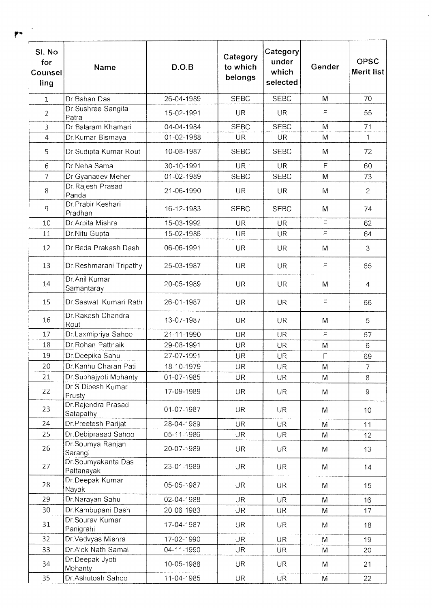| SI. No<br>for<br>Counsel<br>ling | Name                             | D.O.B      | Category<br>to which<br>belongs | Category<br>under<br>which<br>selected | Gender      | <b>OPSC</b><br><b>Merit list</b> |
|----------------------------------|----------------------------------|------------|---------------------------------|----------------------------------------|-------------|----------------------------------|
| 1                                | Dr. Bahan Das                    | 26-04-1989 | <b>SEBC</b>                     | <b>SEBC</b>                            | M           | 70                               |
| $\overline{2}$                   | Dr.Sushree Sangita<br>Patra      | 15-02-1991 | UR.                             | UR.                                    | $\mathsf F$ | 55                               |
| 3                                | Dr. Balaram Khamari              | 04-04-1984 | <b>SEBC</b>                     | <b>SEBC</b>                            | M           | 71                               |
| $\overline{4}$                   | Dr.Kumar Bismaya                 | 01-02-1988 | <b>UR</b>                       | <b>UR</b>                              | M           | $\mathbf{1}$                     |
| 5                                | Dr. Sudipta Kumar Rout           | 10-08-1987 | <b>SEBC</b>                     | <b>SEBC</b>                            | M           | 72                               |
| 6                                | Dr.Neha Samal                    | 30-10-1991 | UR :                            | <b>UR</b>                              | F           | 60                               |
| $\overline{7}$                   | Dr. Gyanadev Meher               | 01-02-1989 | <b>SEBC</b>                     | <b>SEBC</b>                            | M           | 73                               |
| 8                                | Dr. Rajesh Prasad<br>Panda       | 21-06-1990 | <b>UR</b>                       | <b>UR</b>                              | M           | 2                                |
| 9                                | Dr.Prabir Keshari<br>Pradhan     | 16-12-1983 | <b>SEBC</b>                     | <b>SEBC</b>                            | M           | 74                               |
| 10                               | Dr.Arpita Mishra                 | 15-03-1992 | <b>UR</b>                       | <b>UR</b>                              | F           | 62                               |
| 11                               | Dr. Nitu Gupta                   | 15-02-1986 | UR                              | <b>UR</b>                              | $\mathsf F$ | 64                               |
| 12                               | Dr.Beda Prakash Dash             | 06-06-1991 | <b>UR</b>                       | UR.                                    | M           | 3                                |
| 13                               | Dr. Reshmarani Tripathy          | 25-03-1987 | <b>UR</b>                       | UR.                                    | $\mathsf F$ | 65                               |
| 14                               | Dr.Anil Kumar<br>Samantaray      | 20-05-1989 | <b>UR</b>                       | <b>UR</b>                              | M           | 4                                |
| 15                               | Dr. Saswati Kumari Rath          | 26-01-1987 | <b>UR</b>                       | UR.                                    | $\mathsf F$ | 66                               |
| 16                               | Dr. Rakesh Chandra<br>Rout       | 13-07-1987 | UR -                            | <b>UR</b>                              | M           | 5                                |
| 17                               | Dr.Laxmipriya Sahoo              | 21-11-1990 | <b>UR</b>                       | <b>UR</b>                              | F           | 67                               |
| 18                               | Dr. Rohan Pattnaik               | 29-08-1991 | <b>UR</b>                       | <b>UR</b>                              | M           | 6                                |
| 19                               | Dr.Deepika Sahu                  | 27-07-1991 | <b>UR</b>                       | <b>UR</b>                              | F           | 69                               |
| 20                               | Dr.Kanhu Charan Pati             | 18-10-1979 | <b>UR</b>                       | UR                                     | M           | $\overline{7}$                   |
| 21                               | Dr.Subhajyoti Mohanty            | 01-07-1985 | <b>UR</b>                       | <b>UR</b>                              | M           | 8                                |
| 22                               | Dr.S.Dipesh Kumar<br>Prusty      | 17-09-1989 | <b>UR</b>                       | UR.                                    | M           | $\overline{9}$                   |
| 23                               | Dr. Rajendra Prasad<br>Satapathy | 01-07-1987 | <b>UR</b>                       | <b>UR</b>                              | M           | 10                               |
| 24                               | Dr.Preetesh Parijat              | 28-04-1989 | <b>UR</b>                       | <b>UR</b>                              | M           | 11                               |
| 25                               | Dr.Debiprasad Sahoo              | 05-11-1986 | <b>UR</b>                       | <b>UR</b>                              | M           | 12                               |
| 26                               | Dr.Soumya Ranjan<br>Sarangi      | 20-07-1989 | UR.                             | UR.                                    | M           | 13                               |
| 27                               | Dr.Soumyakanta Das<br>Pattanayak | 23-01-1989 | <b>UR</b>                       | <b>UR</b>                              | M           | 14                               |
| 28                               | Dr.Deepak Kumar<br>Nayak         | 05-05-1987 | UR.                             | UR.                                    | M           | 15                               |
| 29                               | Dr.Narayan Sahu                  | 02-04-1988 | <b>UR</b>                       | <b>UR</b>                              | M           | 16                               |
| 30                               | Dr.Kambupani Dash                | 20-06-1983 | UR.                             | <b>UR</b>                              | M           | 17                               |
| 31                               | Dr.Sourav Kumar<br>Panigrahi     | 17-04-1987 | <b>UR</b>                       | <b>UR</b>                              | M           | 18                               |
| 32                               | Dr Vedvyas Mishra                | 17-02-1990 | <b>UR</b>                       | <b>UR</b>                              | M           | 19                               |
| 33                               | Dr.Alok Nath Samal               | 04-11-1990 | <b>UR</b>                       | <b>UR</b>                              | M           | 20                               |
| 34                               | Dr.Deepak Jyoti<br>Mohanty       | 10-05-1988 | UR.                             | <b>UR</b>                              | M           | 21                               |
| 35                               | Dr.Ashutosh Sahoo                | 11-04-1985 | <b>UR</b>                       | <b>UR</b>                              | M           | 22                               |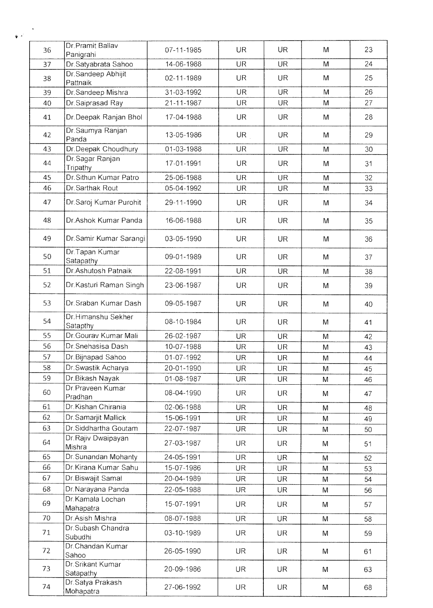| 36 | Dr. Pramit Ballav<br>Panigrahi | 07-11-1985 | UR        | <b>UR</b> | M | 23 |
|----|--------------------------------|------------|-----------|-----------|---|----|
| 37 | Dr.Satyabrata Sahoo            | 14-06-1988 | UR        | <b>UR</b> | M | 24 |
| 38 | Dr.Sandeep Abhijit<br>Pattnaik | 02-11-1989 | <b>UR</b> | <b>UR</b> | M | 25 |
| 39 | Dr.Sandeep Mishra              | 31-03-1992 | <b>UR</b> | UR.       | M | 26 |
| 40 | Dr. Saiprasad Ray              | 21-11-1987 | <b>UR</b> | <b>UR</b> | M | 27 |
| 41 | Dr.Deepak Ranjan Bhol          | 17-04-1988 | <b>UR</b> | <b>UR</b> | M | 28 |
| 42 | Dr. Saumya Ranjan<br>Panda     | 13-05-1986 | <b>UR</b> | <b>UR</b> | M | 29 |
| 43 | Dr.Deepak Choudhury            | 01-03-1988 | UR        | <b>UR</b> | M | 30 |
| 44 | Dr Sagar Ranjan<br>Tripathy    | 17-01-1991 | <b>UR</b> | <b>UR</b> | M | 31 |
| 45 | Dr. Sithun Kumar Patro         | 25-06-1988 | <b>UR</b> | <b>UR</b> | M | 32 |
| 46 | Dr. Sarthak Rout               | 05-04-1992 | <b>UR</b> | UR.       | M | 33 |
| 47 | Dr.Saroj Kumar Purohit         | 29-11-1990 | UR        | UR.       | M | 34 |
| 48 | Dr.Ashok Kumar Panda           | 16-06-1988 | UR        | <b>UR</b> | M | 35 |
| 49 | Dr. Samir Kumar Sarangi        | 03-05-1990 | UR        | <b>UR</b> | M | 36 |
| 50 | Dr.Tapan Kumar<br>Satapathy    | 09-01-1989 | <b>UR</b> | <b>UR</b> | M | 37 |
| 51 | Dr.Ashutosh Patnaik            | 22-08-1991 | <b>UR</b> | <b>UR</b> | M | 38 |
| 52 | Dr.Kasturi Raman Singh         | 23-06-1987 | UR        | <b>UR</b> | M | 39 |
| 53 | Dr. Sraban Kumar Dash          | 09-05-1987 | <b>UR</b> | <b>UR</b> | M | 40 |
| 54 | Dr.Himanshu Sekher<br>Satapthy | 08-10-1984 | UR.       | <b>UR</b> | M | 41 |
| 55 | Dr. Gourav Kumar Mali          | 26-02-1987 | <b>UR</b> | <b>UR</b> | M | 42 |
| 56 | Dr. Snehasisa Dash             | 10-07-1988 | UR        | <b>UR</b> | M | 43 |
| 57 | Dr. Bijnapad Sahoo             | 01-07-1992 | UR        | <b>UR</b> | M | 44 |
| 58 | Dr. Swastik Acharya            | 20-01-1990 | <b>UR</b> | <b>UR</b> | M | 45 |
| 59 | Dr.Bikash Nayak                | 01-08-1987 | <b>UR</b> | <b>UR</b> | M | 46 |
| 60 | Dr.Praveen Kumar<br>Pradhan    | 08-04-1990 | <b>UR</b> | UR.       | M | 47 |
| 61 | Dr.Kishan Chirania             | 02-06-1988 | <b>UR</b> | <b>UR</b> | M | 48 |
| 62 | Dr.Samarjit Mallick            | 15-06-1991 | <b>UR</b> | <b>UR</b> | M | 49 |
| 63 | Dr.Siddhartha Goutam           | 22-07-1987 | <b>UR</b> | UR        | M | 50 |
| 64 | Dr.Rajiv Dwaipayan<br>Mishra   | 27-03-1987 | UR.       | <b>UR</b> | M | 51 |
| 65 | Dr.Sunandan Mohanty            | 24-05-1991 | <b>UR</b> | <b>UR</b> | M | 52 |
| 66 | Dr.Kirana Kumar Sahu           | 15-07-1986 | <b>UR</b> | <b>UR</b> | M | 53 |
| 67 | Dr.Biswajit Samal              | 20-04-1989 | <b>UR</b> | <b>UR</b> | M | 54 |
| 68 | Dr. Narayana Panda             | 22-05-1988 | <b>UR</b> | <b>UR</b> | M | 56 |
| 69 | Dr. Kamala Lochan<br>Mahapatra | 15-07-1991 | UR.       | <b>UR</b> | M | 57 |
| 70 | Dr.Asish Mishra                | 08-07-1988 | <b>UR</b> | <b>UR</b> | M | 58 |
| 71 | Dr.Subash Chandra<br>Subudhi   | 03-10-1989 | UR.       | UR.       | M | 59 |
| 72 | Dr. Chandan Kumar<br>Sahoo     | 26-05-1990 | <b>UR</b> | <b>UR</b> | M | 61 |
| 73 | Dr. Srikant Kumar<br>Satapathy | 20-09-1986 | <b>UR</b> | <b>UR</b> | M | 63 |
| 74 | Dr.Satya Prakash<br>Mohapatra  | 27-06-1992 | UR.       | <b>UR</b> | M | 68 |

 $\mathbf{r}$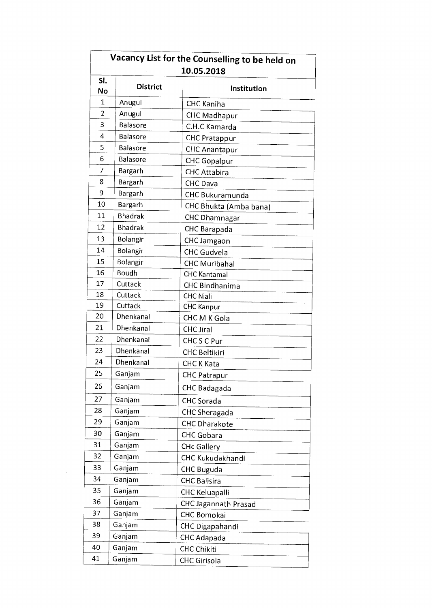|                |                 | Vacancy List for the Counselling to be held on<br>10.05.2018 |
|----------------|-----------------|--------------------------------------------------------------|
| SI.<br>No      | <b>District</b> | Institution                                                  |
| $\mathbf{1}$   | Anugul          | <b>CHC Kaniha</b>                                            |
| $\overline{2}$ | Anugul          | <b>CHC Madhapur</b>                                          |
| 3              | Balasore        | C.H.C Kamarda                                                |
| 4              | Balasore        | <b>CHC Pratappur</b>                                         |
| 5              | Balasore        | <b>CHC Anantapur</b>                                         |
| 6              | Balasore        | <b>CHC Gopalpur</b>                                          |
| 7              | Bargarh         | <b>CHC Attabira</b>                                          |
| 8              | Bargarh         | CHC Dava                                                     |
| 9              | Bargarh         | CHC Bukuramunda                                              |
| 10             | Bargarh         | CHC Bhukta (Amba bana)                                       |
| 11             | <b>Bhadrak</b>  | <b>CHC Dhamnagar</b>                                         |
| 12             | <b>Bhadrak</b>  | CHC Barapada                                                 |
| 13             | Bolangir        | CHC Jamgaon                                                  |
| 14             | Bolangir        | <b>CHC Gudvela</b>                                           |
| 15             | Bolangir        | <b>CHC Muribahal</b>                                         |
| 16             | <b>Boudh</b>    | <b>CHC Kantamal</b>                                          |
| 17             | Cuttack         | <b>CHC Bindhanima</b>                                        |
| 18             | Cuttack         | <b>CHC Niali</b>                                             |
| 19             | Cuttack         | <b>CHC Kanpur</b>                                            |
| 20             | Dhenkanal       | CHC M K Gola                                                 |
| 21             | Dhenkanal       | <b>CHC Jiral</b>                                             |
| 22             | Dhenkanal       | CHCSC Pur                                                    |
| 23             | Dhenkanal       | <b>CHC Beltikiri</b>                                         |
| 24             | Dhenkanal       | <b>CHC K Kata</b>                                            |
| 25             | Ganjam          | <b>CHC Patrapur</b>                                          |
| 26             | Ganjam          |                                                              |
|                |                 | <b>CHC Badagada</b>                                          |
| 27             | Ganjam          | <b>CHC</b> Sorada                                            |
| 28             | Ganjam          | <b>CHC Sheragada</b>                                         |
| 29             | Ganjam          | <b>CHC Dharakote</b>                                         |
| 30             | Ganjam          | <b>CHC</b> Gobara                                            |
| 31             | Ganjam          | <b>CHc Gallery</b>                                           |
| 32             | Ganjam          | CHC Kukudakhandi                                             |
| 33             | Ganjam          | <b>CHC Buguda</b>                                            |
| 34             | Ganjam          | <b>CHC Balisira</b>                                          |
| 35             | Ganjam          | <b>CHC Keluapalli</b>                                        |
| 36             | Ganjam          | CHC Jagannath Prasad                                         |
| 37             | Ganjam          | CHC Bomokai                                                  |
| 38             | Ganjam          | CHC Digapahandi                                              |
| 39             | Ganjam          | CHC Adapada                                                  |
| 40             | Ganjam          | <b>CHC Chikiti</b>                                           |
| 41             | Ganjam          | <b>CHC Girisola</b>                                          |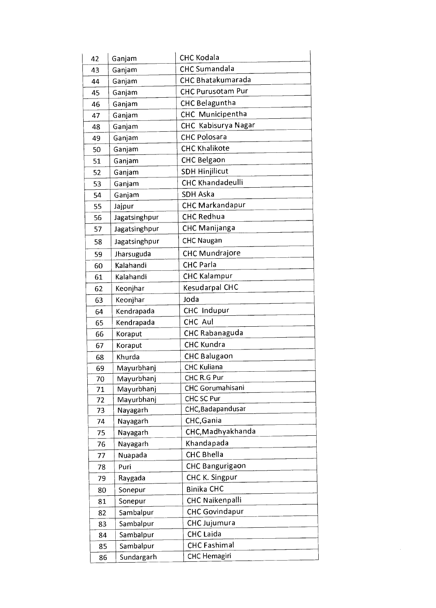| 42 | Ganjam                         | <b>CHC Kodala</b>        |  |
|----|--------------------------------|--------------------------|--|
| 43 | <b>CHC Sumandala</b><br>Ganjam |                          |  |
| 44 | Ganjam                         | CHC Bhatakumarada        |  |
| 45 | Ganjam                         | <b>CHC Purusotam Pur</b> |  |
| 46 | Ganjam                         | <b>CHC Belaguntha</b>    |  |
| 47 | Ganjam                         | CHC Municipentha         |  |
| 48 | Ganjam                         | CHC Kabisurya Nagar      |  |
| 49 | Ganjam                         | <b>CHC Polosara</b>      |  |
| 50 | Ganjam                         | <b>CHC Khalikote</b>     |  |
| 51 | Ganjam                         | CHC Belgaon              |  |
| 52 | Ganjam                         | <b>SDH Hinjilicut</b>    |  |
| 53 | Ganjam                         | <b>CHC Khandadeulli</b>  |  |
| 54 | Ganjam                         | <b>SDH Aska</b>          |  |
|    |                                | <b>CHC Markandapur</b>   |  |
| 55 | Jajpur<br>Jagatsinghpur        | <b>CHC Redhua</b>        |  |
| 56 |                                | <b>CHC Manijanga</b>     |  |
| 57 | Jagatsinghpur                  |                          |  |
| 58 | Jagatsinghpur                  | <b>CHC Naugan</b>        |  |
| 59 | Jharsuguda                     | <b>CHC Mundrajore</b>    |  |
| 60 | Kalahandi                      | <b>CHC Parla</b>         |  |
| 61 | Kalahandi                      | <b>CHC Kalampur</b>      |  |
| 62 | Keonjhar                       | Kesudarpal CHC           |  |
| 63 | Keonjhar                       | Joda                     |  |
| 64 | Kendrapada                     | CHC Indupur              |  |
| 65 | Kendrapada                     | CHC Aul                  |  |
| 66 | Koraput                        | CHC Rabanaguda           |  |
| 67 | Koraput                        | <b>CHC Kundra</b>        |  |
| 68 | Khurda                         | <b>CHC Balugaon</b>      |  |
| 69 | Mayurbhanj                     | <b>CHC Kuliana</b>       |  |
| 70 | Mayurbhanj                     | CHC R.G Pur              |  |
| 71 | Mayurbhanj                     | CHC Gorumahisani         |  |
| 72 | Mayurbhanj                     | CHC SC Pur               |  |
| 73 | Nayagarh                       | CHC, Badapandusar        |  |
| 74 | Nayagarh                       | CHC, Gania               |  |
| 75 | Nayagarh                       | CHC, Madhyakhanda        |  |
| 76 | Nayagarh                       | Khandapada               |  |
| 77 | Nuapada                        | <b>CHC Bhella</b>        |  |
| 78 | Puri                           | <b>CHC Bangurigaon</b>   |  |
| 79 | Raygada                        | CHC K. Singpur           |  |
| 80 | Sonepur                        | Binika CHC               |  |
| 81 | Sonepur                        | CHC Naikenpalli          |  |
| 82 | Sambalpur                      | <b>CHC Govindapur</b>    |  |
| 83 | Sambalpur                      | CHC Jujumura             |  |
| 84 | Sambalpur                      | <b>CHC</b> Laida         |  |
| 85 | Sambalpur                      | <b>CHC</b> Fashimal      |  |
| 86 | Sundargarh                     | <b>CHC Hemagiri</b>      |  |